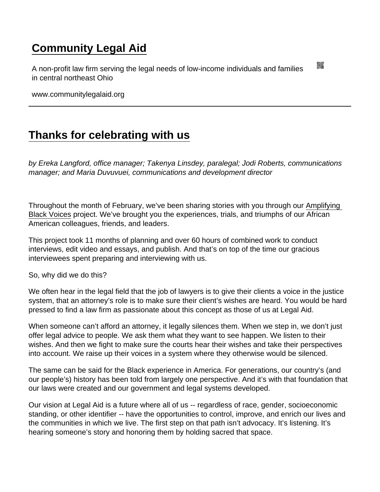## [Community Legal Aid](https://www.communitylegalaid.org/)

A non-profit law firm serving the legal needs of low-income individuals and families in central northeast Ohio

www.communitylegalaid.org

## [Thanks for celebrating with us](https://www.communitylegalaid.org/node/1673/thanks-celebrating-us)

by Ereka Langford, office manager; Takenya Linsdey, paralegal; Jodi Roberts, communications manager; and Maria Duvuvuei, communications and development director

Throughout the month of February, we've been sharing stories with you through our [Amplifying](http://www.communitylegalaid.org/blackhistory)  [Black Voices](http://www.communitylegalaid.org/blackhistory) project. We've brought you the experiences, trials, and triumphs of our African American colleagues, friends, and leaders.

This project took 11 months of planning and over 60 hours of combined work to conduct interviews, edit video and essays, and publish. And that's on top of the time our gracious interviewees spent preparing and interviewing with us.

So, why did we do this?

We often hear in the legal field that the job of lawyers is to give their clients a voice in the justice system, that an attorney's role is to make sure their client's wishes are heard. You would be hard pressed to find a law firm as passionate about this concept as those of us at Legal Aid.

When someone can't afford an attorney, it legally silences them. When we step in, we don't just offer legal advice to people. We ask them what they want to see happen. We listen to their wishes. And then we fight to make sure the courts hear their wishes and take their perspectives into account. We raise up their voices in a system where they otherwise would be silenced.

The same can be said for the Black experience in America. For generations, our country's (and our people's) history has been told from largely one perspective. And it's with that foundation that our laws were created and our government and legal systems developed.

Our vision at Legal Aid is a future where all of us -- regardless of race, gender, socioeconomic standing, or other identifier -- have the opportunities to control, improve, and enrich our lives and the communities in which we live. The first step on that path isn't advocacy. It's listening. It's hearing someone's story and honoring them by holding sacred that space.